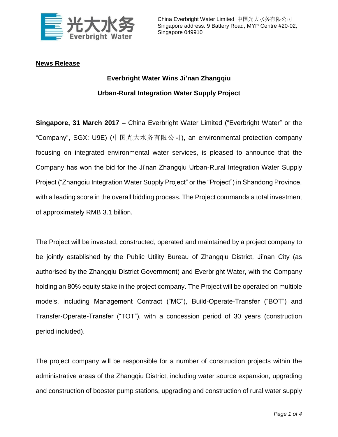

## **News Release**

## **Everbright Water Wins Ji'nan Zhangqiu Urban-Rural Integration Water Supply Project**

**Singapore, 31 March 2017 –** China Everbright Water Limited ("Everbright Water" or the "Company", SGX: U9E) (中国光大水务有限公司), an environmental protection company focusing on integrated environmental water services, is pleased to announce that the Company has won the bid for the Ji'nan Zhangqiu Urban-Rural Integration Water Supply Project ("Zhangqiu Integration Water Supply Project" or the "Project") in Shandong Province, with a leading score in the overall bidding process. The Project commands a total investment of approximately RMB 3.1 billion.

The Project will be invested, constructed, operated and maintained by a project company to be jointly established by the Public Utility Bureau of Zhangqiu District, Ji'nan City (as authorised by the Zhangqiu District Government) and Everbright Water, with the Company holding an 80% equity stake in the project company. The Project will be operated on multiple models, including Management Contract ("MC"), Build-Operate-Transfer ("BOT") and Transfer-Operate-Transfer ("TOT"), with a concession period of 30 years (construction period included).

The project company will be responsible for a number of construction projects within the administrative areas of the Zhangqiu District, including water source expansion, upgrading and construction of booster pump stations, upgrading and construction of rural water supply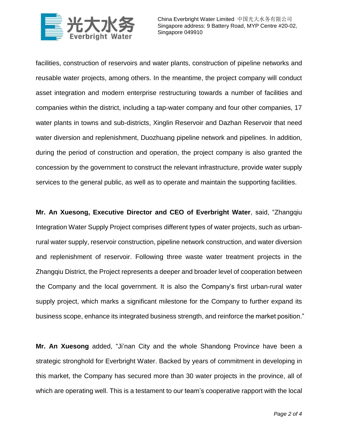

facilities, construction of reservoirs and water plants, construction of pipeline networks and reusable water projects, among others. In the meantime, the project company will conduct asset integration and modern enterprise restructuring towards a number of facilities and companies within the district, including a tap-water company and four other companies, 17 water plants in towns and sub-districts, Xinglin Reservoir and Dazhan Reservoir that need water diversion and replenishment, Duozhuang pipeline network and pipelines. In addition, during the period of construction and operation, the project company is also granted the concession by the government to construct the relevant infrastructure, provide water supply services to the general public, as well as to operate and maintain the supporting facilities.

**Mr. An Xuesong, Executive Director and CEO of Everbright Water**, said, "Zhangqiu Integration Water Supply Project comprises different types of water projects, such as urbanrural water supply, reservoir construction, pipeline network construction, and water diversion and replenishment of reservoir. Following three waste water treatment projects in the Zhangqiu District, the Project represents a deeper and broader level of cooperation between the Company and the local government. It is also the Company's first urban-rural water supply project, which marks a significant milestone for the Company to further expand its business scope, enhance its integrated business strength, and reinforce the market position."

**Mr. An Xuesong** added, "Ji'nan City and the whole Shandong Province have been a strategic stronghold for Everbright Water. Backed by years of commitment in developing in this market, the Company has secured more than 30 water projects in the province, all of which are operating well. This is a testament to our team's cooperative rapport with the local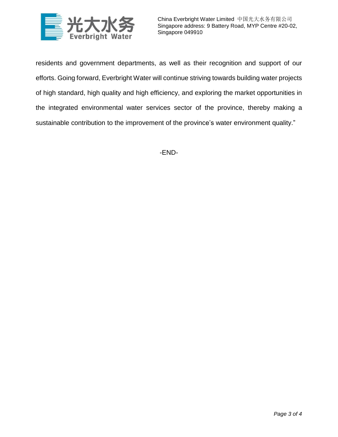

China Everbright Water Limited 中国光大水务有限公司 Singapore address: 9 Battery Road, MYP Centre #20-02, Singapore 049910

residents and government departments, as well as their recognition and support of our efforts. Going forward, Everbright Water will continue striving towards building water projects of high standard, high quality and high efficiency, and exploring the market opportunities in the integrated environmental water services sector of the province, thereby making a sustainable contribution to the improvement of the province's water environment quality."

-END-